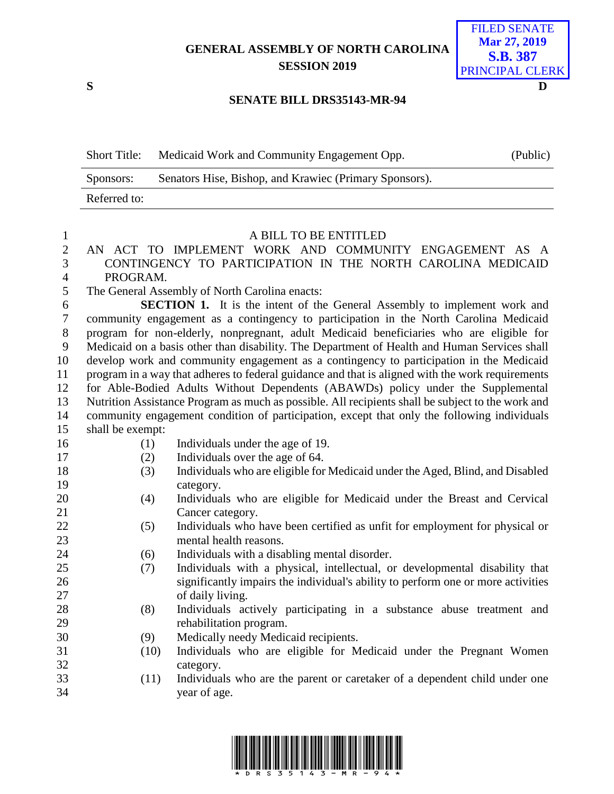# **GENERAL ASSEMBLY OF NORTH CAROLINA SESSION 2019**



### **SENATE BILL DRS35143-MR-94**

| <b>Short Title:</b> | Medicaid Work and Community Engagement Opp.            | (Public) |
|---------------------|--------------------------------------------------------|----------|
| Sponsors:           | Senators Hise, Bishop, and Krawiec (Primary Sponsors). |          |
| Referred to:        |                                                        |          |

- 1 A BILL TO BE ENTITLED<br>2 AN ACT TO IMPLEMENT WORK AND COMMUN AN ACT TO IMPLEMENT WORK AND COMMUNITY ENGAGEMENT AS A CONTINGENCY TO PARTICIPATION IN THE NORTH CAROLINA MEDICAID PROGRAM.
- The General Assembly of North Carolina enacts:

 **SECTION 1.** It is the intent of the General Assembly to implement work and community engagement as a contingency to participation in the North Carolina Medicaid program for non-elderly, nonpregnant, adult Medicaid beneficiaries who are eligible for Medicaid on a basis other than disability. The Department of Health and Human Services shall develop work and community engagement as a contingency to participation in the Medicaid program in a way that adheres to federal guidance and that is aligned with the work requirements for Able-Bodied Adults Without Dependents (ABAWDs) policy under the Supplemental Nutrition Assistance Program as much as possible. All recipients shall be subject to the work and community engagement condition of participation, except that only the following individuals shall be exempt:

- 
- (1) Individuals under the age of 19.
- (2) Individuals over the age of 64.
- (3) Individuals who are eligible for Medicaid under the Aged, Blind, and Disabled category.
- (4) Individuals who are eligible for Medicaid under the Breast and Cervical 21 Cancer category.
- (5) Individuals who have been certified as unfit for employment for physical or mental health reasons.
- (6) Individuals with a disabling mental disorder.
- (7) Individuals with a physical, intellectual, or developmental disability that significantly impairs the individual's ability to perform one or more activities of daily living.
- (8) Individuals actively participating in a substance abuse treatment and rehabilitation program.
- (9) Medically needy Medicaid recipients.
- (10) Individuals who are eligible for Medicaid under the Pregnant Women category.
- (11) Individuals who are the parent or caretaker of a dependent child under one year of age.

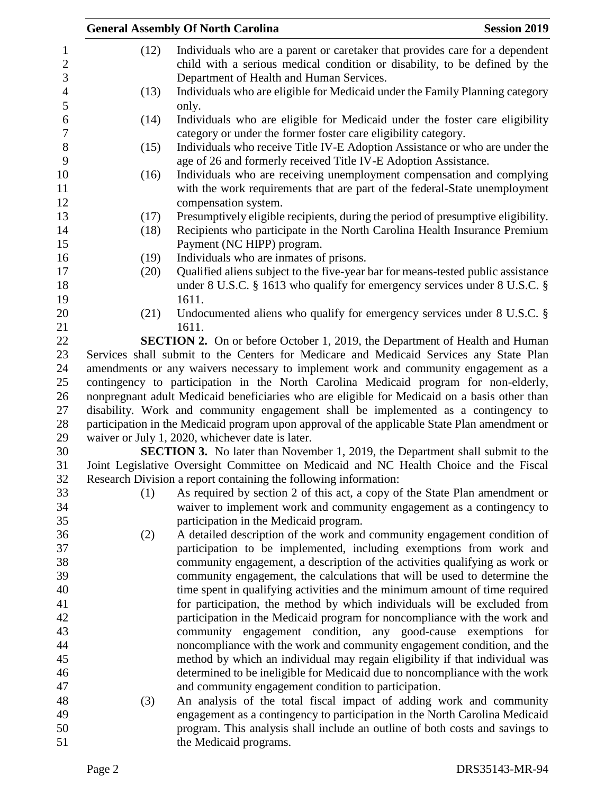|                                      |                                                                                               | <b>General Assembly Of North Carolina</b>                                                                                                                           | <b>Session 2019</b> |  |
|--------------------------------------|-----------------------------------------------------------------------------------------------|---------------------------------------------------------------------------------------------------------------------------------------------------------------------|---------------------|--|
| $\mathbf{1}$<br>$\sqrt{2}$           | (12)                                                                                          | Individuals who are a parent or caretaker that provides care for a dependent<br>child with a serious medical condition or disability, to be defined by the          |                     |  |
| 3<br>$\overline{4}$                  | (13)                                                                                          | Department of Health and Human Services.<br>Individuals who are eligible for Medicaid under the Family Planning category                                            |                     |  |
| 5                                    |                                                                                               | only.                                                                                                                                                               |                     |  |
| $\boldsymbol{6}$<br>$\boldsymbol{7}$ | (14)                                                                                          | Individuals who are eligible for Medicaid under the foster care eligibility<br>category or under the former foster care eligibility category.                       |                     |  |
| $8\,$                                | (15)                                                                                          | Individuals who receive Title IV-E Adoption Assistance or who are under the                                                                                         |                     |  |
| 9                                    |                                                                                               | age of 26 and formerly received Title IV-E Adoption Assistance.                                                                                                     |                     |  |
| 10<br>11                             | (16)                                                                                          | Individuals who are receiving unemployment compensation and complying<br>with the work requirements that are part of the federal-State unemployment                 |                     |  |
| 12                                   |                                                                                               | compensation system.                                                                                                                                                |                     |  |
| 13                                   | (17)                                                                                          | Presumptively eligible recipients, during the period of presumptive eligibility.                                                                                    |                     |  |
| 14                                   | (18)                                                                                          | Recipients who participate in the North Carolina Health Insurance Premium                                                                                           |                     |  |
| 15                                   |                                                                                               | Payment (NC HIPP) program.                                                                                                                                          |                     |  |
| 16                                   | (19)                                                                                          | Individuals who are inmates of prisons.                                                                                                                             |                     |  |
| 17<br>18                             | (20)                                                                                          | Qualified aliens subject to the five-year bar for means-tested public assistance<br>under 8 U.S.C. $\S$ 1613 who qualify for emergency services under 8 U.S.C. $\S$ |                     |  |
| 19                                   |                                                                                               | 1611.                                                                                                                                                               |                     |  |
| 20                                   | (21)                                                                                          | Undocumented aliens who qualify for emergency services under 8 U.S.C. §                                                                                             |                     |  |
| 21                                   |                                                                                               | 1611.                                                                                                                                                               |                     |  |
| 22                                   |                                                                                               | SECTION 2. On or before October 1, 2019, the Department of Health and Human                                                                                         |                     |  |
| 23                                   |                                                                                               | Services shall submit to the Centers for Medicare and Medicaid Services any State Plan                                                                              |                     |  |
| 24                                   |                                                                                               | amendments or any waivers necessary to implement work and community engagement as a                                                                                 |                     |  |
| 25                                   |                                                                                               | contingency to participation in the North Carolina Medicaid program for non-elderly,                                                                                |                     |  |
| 26                                   |                                                                                               | nonpregnant adult Medicaid beneficiaries who are eligible for Medicaid on a basis other than                                                                        |                     |  |
| 27                                   |                                                                                               | disability. Work and community engagement shall be implemented as a contingency to                                                                                  |                     |  |
| 28                                   | participation in the Medicaid program upon approval of the applicable State Plan amendment or |                                                                                                                                                                     |                     |  |
| 29                                   |                                                                                               | waiver or July 1, 2020, whichever date is later.                                                                                                                    |                     |  |
| 30                                   |                                                                                               | <b>SECTION 3.</b> No later than November 1, 2019, the Department shall submit to the                                                                                |                     |  |
| 31<br>32                             |                                                                                               | Joint Legislative Oversight Committee on Medicaid and NC Health Choice and the Fiscal                                                                               |                     |  |
| 33                                   | (1)                                                                                           | Research Division a report containing the following information:<br>As required by section 2 of this act, a copy of the State Plan amendment or                     |                     |  |
| 34                                   |                                                                                               | waiver to implement work and community engagement as a contingency to                                                                                               |                     |  |
| 35                                   |                                                                                               | participation in the Medicaid program.                                                                                                                              |                     |  |
| 36                                   | (2)                                                                                           | A detailed description of the work and community engagement condition of                                                                                            |                     |  |
| 37                                   |                                                                                               | participation to be implemented, including exemptions from work and                                                                                                 |                     |  |
| 38                                   |                                                                                               | community engagement, a description of the activities qualifying as work or                                                                                         |                     |  |
| 39                                   |                                                                                               | community engagement, the calculations that will be used to determine the                                                                                           |                     |  |
| 40                                   |                                                                                               | time spent in qualifying activities and the minimum amount of time required                                                                                         |                     |  |
| 41                                   |                                                                                               | for participation, the method by which individuals will be excluded from                                                                                            |                     |  |
| 42                                   |                                                                                               | participation in the Medicaid program for noncompliance with the work and                                                                                           |                     |  |
| 43                                   |                                                                                               | community engagement condition, any good-cause exemptions                                                                                                           | for                 |  |
| 44                                   |                                                                                               | noncompliance with the work and community engagement condition, and the                                                                                             |                     |  |
| 45                                   |                                                                                               | method by which an individual may regain eligibility if that individual was                                                                                         |                     |  |
| 46                                   |                                                                                               | determined to be ineligible for Medicaid due to noncompliance with the work                                                                                         |                     |  |
| 47                                   |                                                                                               | and community engagement condition to participation.                                                                                                                |                     |  |
| 48                                   | (3)                                                                                           | An analysis of the total fiscal impact of adding work and community                                                                                                 |                     |  |
| 49                                   |                                                                                               | engagement as a contingency to participation in the North Carolina Medicaid                                                                                         |                     |  |
| 50                                   |                                                                                               | program. This analysis shall include an outline of both costs and savings to                                                                                        |                     |  |
| 51                                   |                                                                                               | the Medicaid programs.                                                                                                                                              |                     |  |